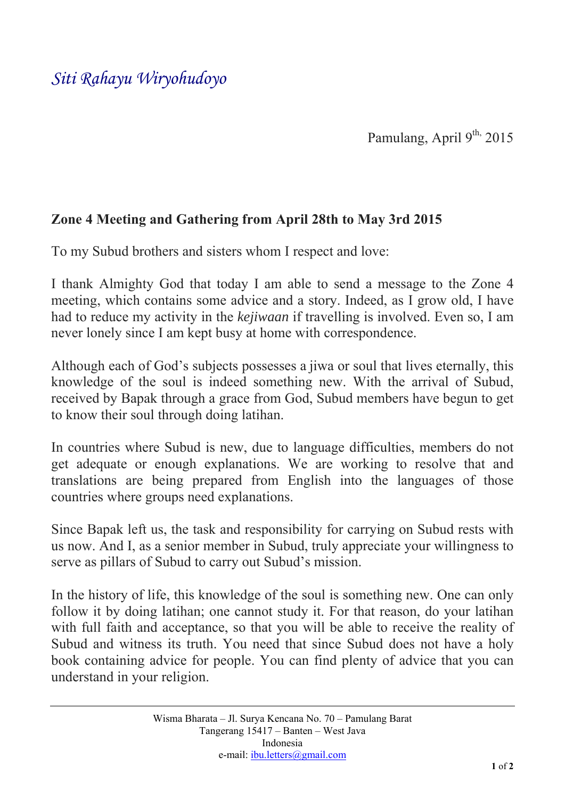## *Siti Rahayu Wiryohudoyo*

Pamulang, April  $9^{th}$ , 2015

## **Zone 4 Meeting and Gathering from April 28th to May 3rd 2015**

To my Subud brothers and sisters whom I respect and love:

I thank Almighty God that today I am able to send a message to the Zone 4 meeting, which contains some advice and a story. Indeed, as I grow old, I have had to reduce my activity in the *kejiwaan* if travelling is involved. Even so, I am never lonely since I am kept busy at home with correspondence.

Although each of God's subjects possesses a jiwa or soul that lives eternally, this knowledge of the soul is indeed something new. With the arrival of Subud, received by Bapak through a grace from God, Subud members have begun to get to know their soul through doing latihan.

In countries where Subud is new, due to language difficulties, members do not get adequate or enough explanations. We are working to resolve that and translations are being prepared from English into the languages of those countries where groups need explanations.

Since Bapak left us, the task and responsibility for carrying on Subud rests with us now. And I, as a senior member in Subud, truly appreciate your willingness to serve as pillars of Subud to carry out Subud's mission.

In the history of life, this knowledge of the soul is something new. One can only follow it by doing latihan; one cannot study it. For that reason, do your latihan with full faith and acceptance, so that you will be able to receive the reality of Subud and witness its truth. You need that since Subud does not have a holy book containing advice for people. You can find plenty of advice that you can understand in your religion.